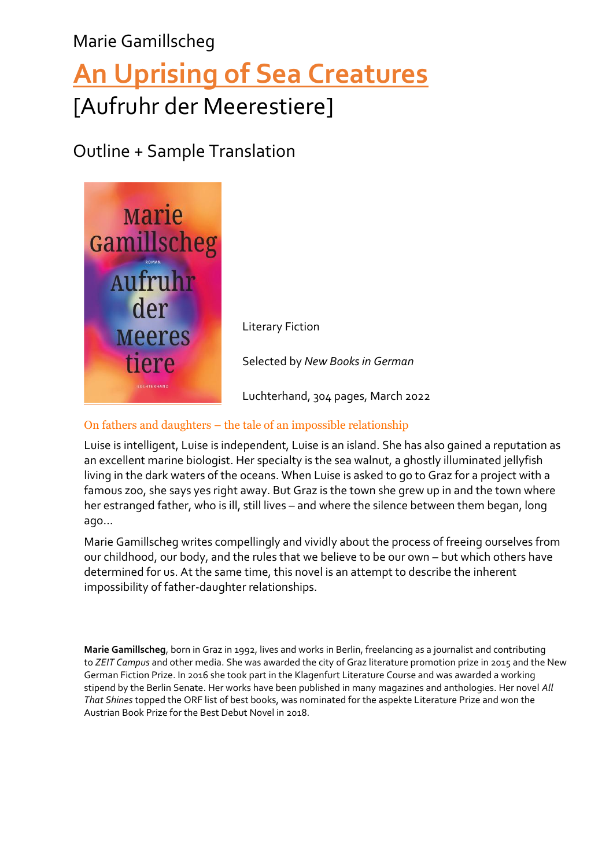## Marie Gamillscheg **[An Uprising of Sea Creatures](https://foreignrights.penguinrandomhouse.de/disturbance-jellyfish/978-3-630-87562-0)** [Aufruhr der Meerestiere]

### Outline + Sample Translation



### On fathers and daughters – the tale of an impossible relationship

Luise is intelligent, Luise is independent, Luise is an island. She has also gained a reputation as an excellent marine biologist. Her specialty is the sea walnut, a ghostly illuminated jellyfish living in the dark waters of the oceans. When Luise is asked to go to Graz for a project with a famous zoo, she says yes right away. But Graz is the town she grew up in and the town where her estranged father, who is ill, still lives – and where the silence between them began, long ago…

Marie Gamillscheg writes compellingly and vividly about the process of freeing ourselves from our childhood, our body, and the rules that we believe to be our own – but which others have determined for us. At the same time, this novel is an attempt to describe the inherent impossibility of father-daughter relationships.

**Marie Gamillscheg**, born in Graz in 1992, lives and works in Berlin, freelancing as a journalist and contributing to *ZEIT Campus* and other media. She was awarded the city of Graz literature promotion prize in 2015 and the New German Fiction Prize. In 2016 she took part in the Klagenfurt Literature Course and was awarded a working stipend by the Berlin Senate. Her works have been published in many magazines and anthologies. Her novel *All That Shines* topped the ORF list of best books, was nominated for the aspekte Literature Prize and won the Austrian Book Prize for the Best Debut Novel in 2018.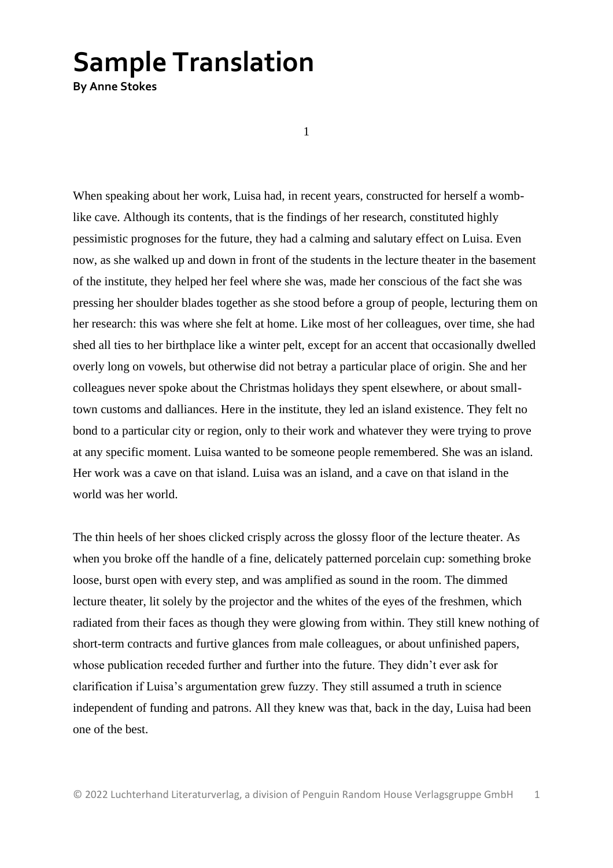# **Sample Translation**

**By Anne Stokes**

1

When speaking about her work, Luisa had, in recent years, constructed for herself a womblike cave. Although its contents, that is the findings of her research, constituted highly pessimistic prognoses for the future, they had a calming and salutary effect on Luisa. Even now, as she walked up and down in front of the students in the lecture theater in the basement of the institute, they helped her feel where she was, made her conscious of the fact she was pressing her shoulder blades together as she stood before a group of people, lecturing them on her research: this was where she felt at home. Like most of her colleagues, over time, she had shed all ties to her birthplace like a winter pelt, except for an accent that occasionally dwelled overly long on vowels, but otherwise did not betray a particular place of origin. She and her colleagues never spoke about the Christmas holidays they spent elsewhere, or about smalltown customs and dalliances. Here in the institute, they led an island existence. They felt no bond to a particular city or region, only to their work and whatever they were trying to prove at any specific moment. Luisa wanted to be someone people remembered. She was an island. Her work was a cave on that island. Luisa was an island, and a cave on that island in the world was her world.

The thin heels of her shoes clicked crisply across the glossy floor of the lecture theater. As when you broke off the handle of a fine, delicately patterned porcelain cup: something broke loose, burst open with every step, and was amplified as sound in the room. The dimmed lecture theater, lit solely by the projector and the whites of the eyes of the freshmen, which radiated from their faces as though they were glowing from within. They still knew nothing of short-term contracts and furtive glances from male colleagues, or about unfinished papers, whose publication receded further and further into the future. They didn't ever ask for clarification if Luisa's argumentation grew fuzzy. They still assumed a truth in science independent of funding and patrons. All they knew was that, back in the day, Luisa had been one of the best.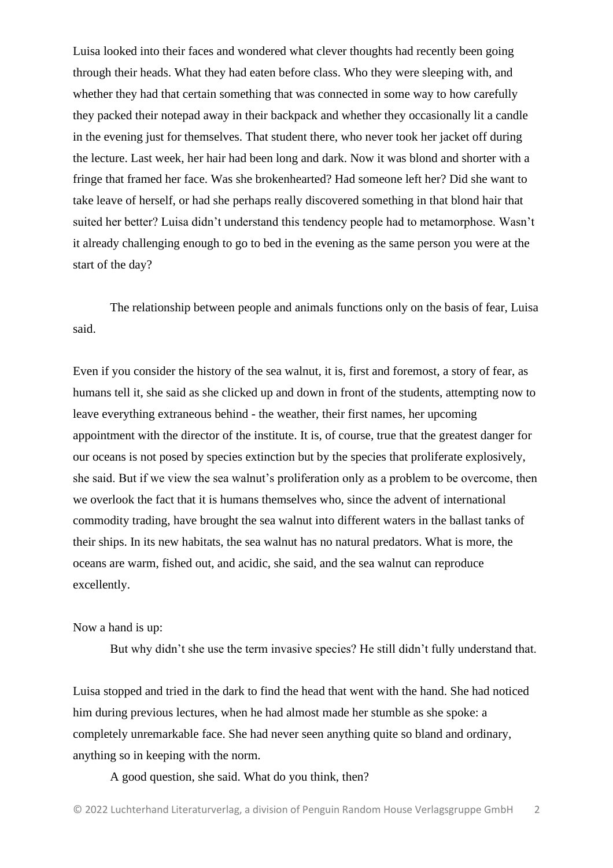Luisa looked into their faces and wondered what clever thoughts had recently been going through their heads. What they had eaten before class. Who they were sleeping with, and whether they had that certain something that was connected in some way to how carefully they packed their notepad away in their backpack and whether they occasionally lit a candle in the evening just for themselves. That student there, who never took her jacket off during the lecture. Last week, her hair had been long and dark. Now it was blond and shorter with a fringe that framed her face. Was she brokenhearted? Had someone left her? Did she want to take leave of herself, or had she perhaps really discovered something in that blond hair that suited her better? Luisa didn't understand this tendency people had to metamorphose. Wasn't it already challenging enough to go to bed in the evening as the same person you were at the start of the day?

The relationship between people and animals functions only on the basis of fear, Luisa said.

Even if you consider the history of the sea walnut, it is, first and foremost, a story of fear, as humans tell it, she said as she clicked up and down in front of the students, attempting now to leave everything extraneous behind - the weather, their first names, her upcoming appointment with the director of the institute. It is, of course, true that the greatest danger for our oceans is not posed by species extinction but by the species that proliferate explosively, she said. But if we view the sea walnut's proliferation only as a problem to be overcome, then we overlook the fact that it is humans themselves who, since the advent of international commodity trading, have brought the sea walnut into different waters in the ballast tanks of their ships. In its new habitats, the sea walnut has no natural predators. What is more, the oceans are warm, fished out, and acidic, she said, and the sea walnut can reproduce excellently.

#### Now a hand is up:

But why didn't she use the term invasive species? He still didn't fully understand that.

Luisa stopped and tried in the dark to find the head that went with the hand. She had noticed him during previous lectures, when he had almost made her stumble as she spoke: a completely unremarkable face. She had never seen anything quite so bland and ordinary, anything so in keeping with the norm.

A good question, she said. What do you think, then?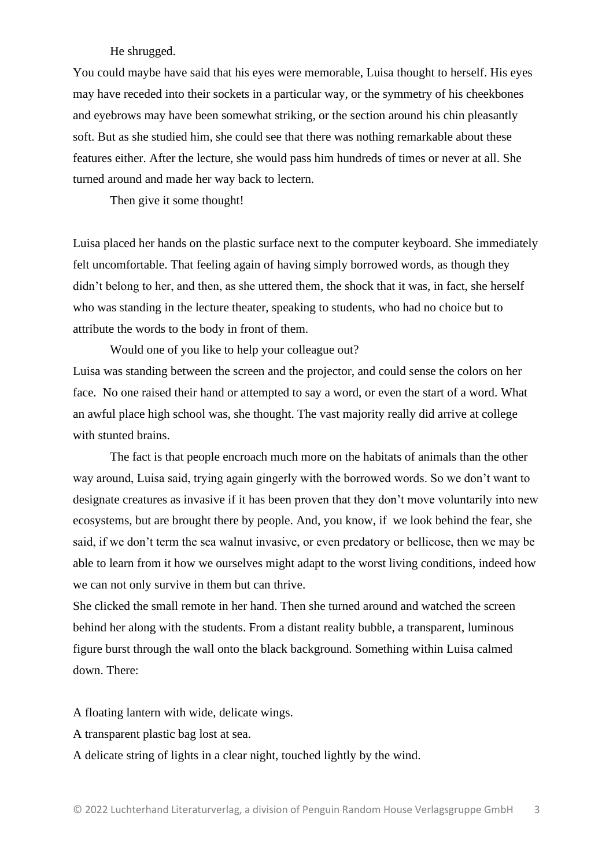### He shrugged.

You could maybe have said that his eyes were memorable, Luisa thought to herself. His eyes may have receded into their sockets in a particular way, or the symmetry of his cheekbones and eyebrows may have been somewhat striking, or the section around his chin pleasantly soft. But as she studied him, she could see that there was nothing remarkable about these features either. After the lecture, she would pass him hundreds of times or never at all. She turned around and made her way back to lectern.

Then give it some thought!

Luisa placed her hands on the plastic surface next to the computer keyboard. She immediately felt uncomfortable. That feeling again of having simply borrowed words, as though they didn't belong to her, and then, as she uttered them, the shock that it was, in fact, she herself who was standing in the lecture theater, speaking to students, who had no choice but to attribute the words to the body in front of them.

Would one of you like to help your colleague out? Luisa was standing between the screen and the projector, and could sense the colors on her face. No one raised their hand or attempted to say a word, or even the start of a word. What an awful place high school was, she thought. The vast majority really did arrive at college with stunted brains.

The fact is that people encroach much more on the habitats of animals than the other way around, Luisa said, trying again gingerly with the borrowed words. So we don't want to designate creatures as invasive if it has been proven that they don't move voluntarily into new ecosystems, but are brought there by people. And, you know, if we look behind the fear, she said, if we don't term the sea walnut invasive, or even predatory or bellicose, then we may be able to learn from it how we ourselves might adapt to the worst living conditions, indeed how we can not only survive in them but can thrive.

She clicked the small remote in her hand. Then she turned around and watched the screen behind her along with the students. From a distant reality bubble, a transparent, luminous figure burst through the wall onto the black background. Something within Luisa calmed down. There:

A floating lantern with wide, delicate wings.

A transparent plastic bag lost at sea.

A delicate string of lights in a clear night, touched lightly by the wind.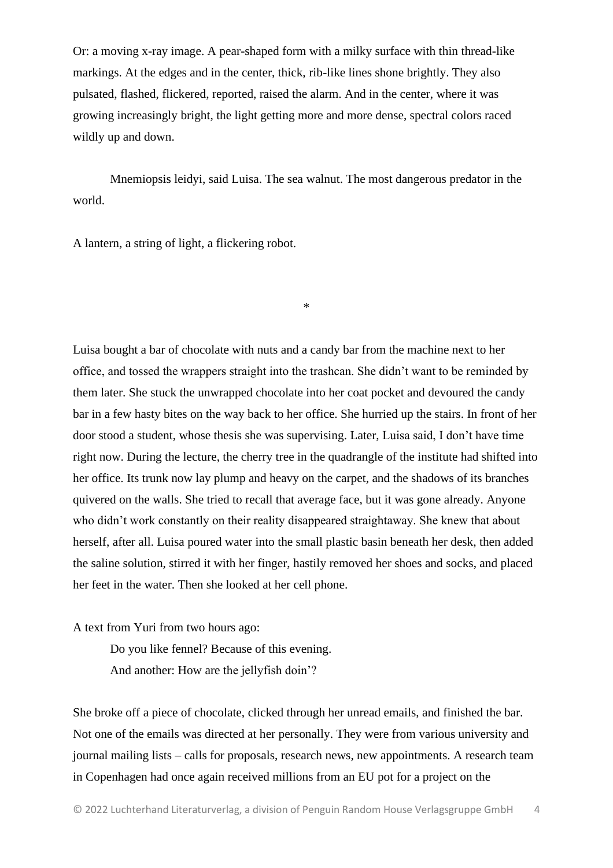Or: a moving x-ray image. A pear-shaped form with a milky surface with thin thread-like markings. At the edges and in the center, thick, rib-like lines shone brightly. They also pulsated, flashed, flickered, reported, raised the alarm. And in the center, where it was growing increasingly bright, the light getting more and more dense, spectral colors raced wildly up and down.

Mnemiopsis leidyi, said Luisa. The sea walnut. The most dangerous predator in the world.

\*

A lantern, a string of light, a flickering robot.

Luisa bought a bar of chocolate with nuts and a candy bar from the machine next to her office, and tossed the wrappers straight into the trashcan. She didn't want to be reminded by them later. She stuck the unwrapped chocolate into her coat pocket and devoured the candy bar in a few hasty bites on the way back to her office. She hurried up the stairs. In front of her door stood a student, whose thesis she was supervising. Later, Luisa said, I don't have time right now. During the lecture, the cherry tree in the quadrangle of the institute had shifted into her office. Its trunk now lay plump and heavy on the carpet, and the shadows of its branches quivered on the walls. She tried to recall that average face, but it was gone already. Anyone who didn't work constantly on their reality disappeared straightaway. She knew that about herself, after all. Luisa poured water into the small plastic basin beneath her desk, then added the saline solution, stirred it with her finger, hastily removed her shoes and socks, and placed her feet in the water. Then she looked at her cell phone.

A text from Yuri from two hours ago:

Do you like fennel? Because of this evening. And another: How are the jellyfish doin'?

She broke off a piece of chocolate, clicked through her unread emails, and finished the bar. Not one of the emails was directed at her personally. They were from various university and journal mailing lists – calls for proposals, research news, new appointments. A research team in Copenhagen had once again received millions from an EU pot for a project on the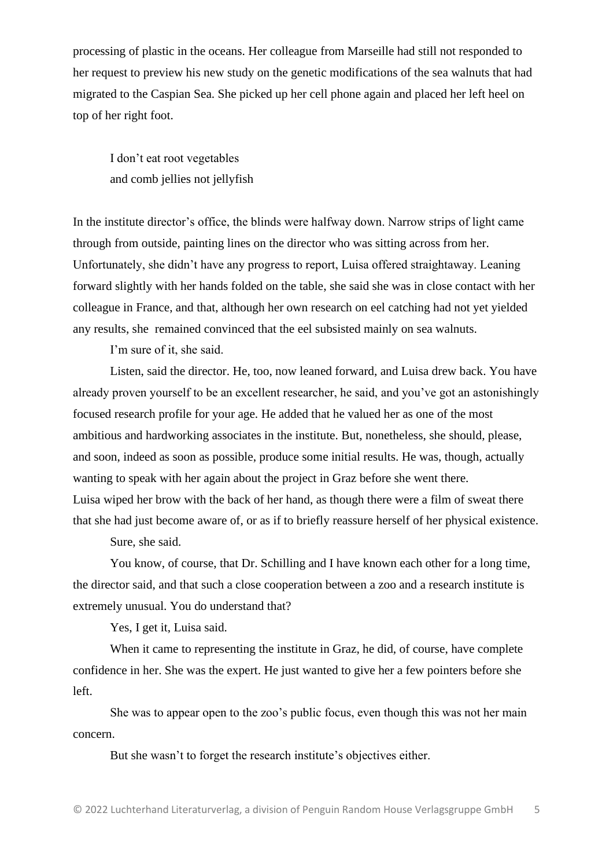processing of plastic in the oceans. Her colleague from Marseille had still not responded to her request to preview his new study on the genetic modifications of the sea walnuts that had migrated to the Caspian Sea. She picked up her cell phone again and placed her left heel on top of her right foot.

I don't eat root vegetables and comb jellies not jellyfish

In the institute director's office, the blinds were halfway down. Narrow strips of light came through from outside, painting lines on the director who was sitting across from her. Unfortunately, she didn't have any progress to report, Luisa offered straightaway. Leaning forward slightly with her hands folded on the table, she said she was in close contact with her colleague in France, and that, although her own research on eel catching had not yet yielded any results, she remained convinced that the eel subsisted mainly on sea walnuts.

I'm sure of it, she said.

Listen, said the director. He, too, now leaned forward, and Luisa drew back. You have already proven yourself to be an excellent researcher, he said, and you've got an astonishingly focused research profile for your age. He added that he valued her as one of the most ambitious and hardworking associates in the institute. But, nonetheless, she should, please, and soon, indeed as soon as possible, produce some initial results. He was, though, actually wanting to speak with her again about the project in Graz before she went there. Luisa wiped her brow with the back of her hand, as though there were a film of sweat there that she had just become aware of, or as if to briefly reassure herself of her physical existence.

Sure, she said.

You know, of course, that Dr. Schilling and I have known each other for a long time, the director said, and that such a close cooperation between a zoo and a research institute is extremely unusual. You do understand that?

Yes, I get it, Luisa said.

When it came to representing the institute in Graz, he did, of course, have complete confidence in her. She was the expert. He just wanted to give her a few pointers before she left.

She was to appear open to the zoo's public focus, even though this was not her main concern.

But she wasn't to forget the research institute's objectives either.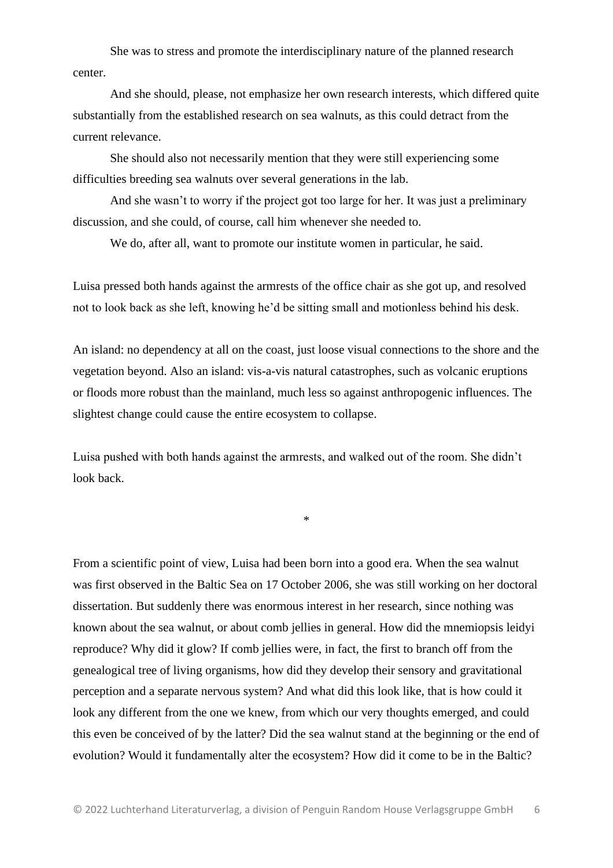She was to stress and promote the interdisciplinary nature of the planned research center.

And she should, please, not emphasize her own research interests, which differed quite substantially from the established research on sea walnuts, as this could detract from the current relevance.

She should also not necessarily mention that they were still experiencing some difficulties breeding sea walnuts over several generations in the lab.

And she wasn't to worry if the project got too large for her. It was just a preliminary discussion, and she could, of course, call him whenever she needed to.

We do, after all, want to promote our institute women in particular, he said.

Luisa pressed both hands against the armrests of the office chair as she got up, and resolved not to look back as she left, knowing he'd be sitting small and motionless behind his desk.

An island: no dependency at all on the coast, just loose visual connections to the shore and the vegetation beyond. Also an island: vis-a-vis natural catastrophes, such as volcanic eruptions or floods more robust than the mainland, much less so against anthropogenic influences. The slightest change could cause the entire ecosystem to collapse.

Luisa pushed with both hands against the armrests, and walked out of the room. She didn't look back.

\*

From a scientific point of view, Luisa had been born into a good era. When the sea walnut was first observed in the Baltic Sea on 17 October 2006, she was still working on her doctoral dissertation. But suddenly there was enormous interest in her research, since nothing was known about the sea walnut, or about comb jellies in general. How did the mnemiopsis leidyi reproduce? Why did it glow? If comb jellies were, in fact, the first to branch off from the genealogical tree of living organisms, how did they develop their sensory and gravitational perception and a separate nervous system? And what did this look like, that is how could it look any different from the one we knew, from which our very thoughts emerged, and could this even be conceived of by the latter? Did the sea walnut stand at the beginning or the end of evolution? Would it fundamentally alter the ecosystem? How did it come to be in the Baltic?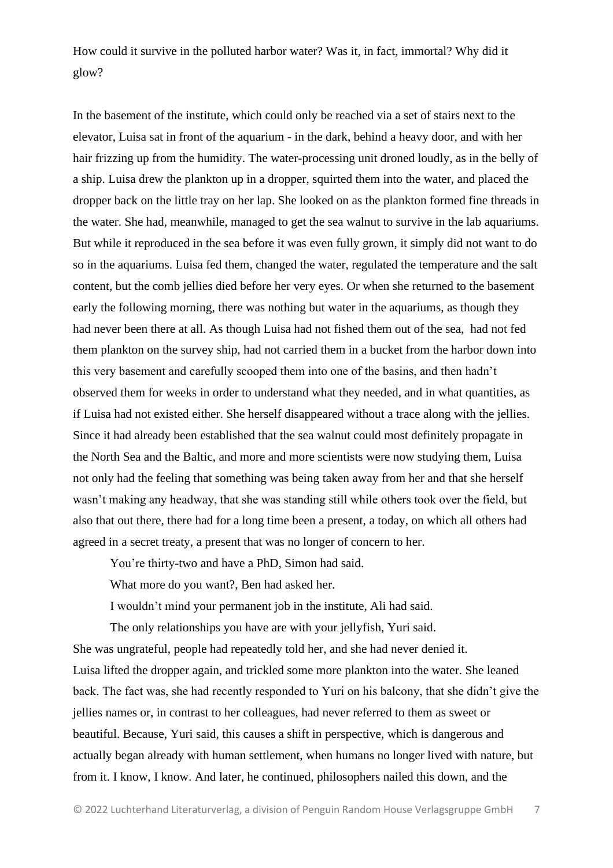How could it survive in the polluted harbor water? Was it, in fact, immortal? Why did it glow?

In the basement of the institute, which could only be reached via a set of stairs next to the elevator, Luisa sat in front of the aquarium - in the dark, behind a heavy door, and with her hair frizzing up from the humidity. The water-processing unit droned loudly, as in the belly of a ship. Luisa drew the plankton up in a dropper, squirted them into the water, and placed the dropper back on the little tray on her lap. She looked on as the plankton formed fine threads in the water. She had, meanwhile, managed to get the sea walnut to survive in the lab aquariums. But while it reproduced in the sea before it was even fully grown, it simply did not want to do so in the aquariums. Luisa fed them, changed the water, regulated the temperature and the salt content, but the comb jellies died before her very eyes. Or when she returned to the basement early the following morning, there was nothing but water in the aquariums, as though they had never been there at all. As though Luisa had not fished them out of the sea, had not fed them plankton on the survey ship, had not carried them in a bucket from the harbor down into this very basement and carefully scooped them into one of the basins, and then hadn't observed them for weeks in order to understand what they needed, and in what quantities, as if Luisa had not existed either. She herself disappeared without a trace along with the jellies. Since it had already been established that the sea walnut could most definitely propagate in the North Sea and the Baltic, and more and more scientists were now studying them, Luisa not only had the feeling that something was being taken away from her and that she herself wasn't making any headway, that she was standing still while others took over the field, but also that out there, there had for a long time been a present, a today, on which all others had agreed in a secret treaty, a present that was no longer of concern to her.

You're thirty-two and have a PhD, Simon had said.

What more do you want?, Ben had asked her.

I wouldn't mind your permanent job in the institute, Ali had said.

The only relationships you have are with your jellyfish, Yuri said. She was ungrateful, people had repeatedly told her, and she had never denied it. Luisa lifted the dropper again, and trickled some more plankton into the water. She leaned back. The fact was, she had recently responded to Yuri on his balcony, that she didn't give the jellies names or, in contrast to her colleagues, had never referred to them as sweet or beautiful. Because, Yuri said, this causes a shift in perspective, which is dangerous and actually began already with human settlement, when humans no longer lived with nature, but from it. I know, I know. And later, he continued, philosophers nailed this down, and the